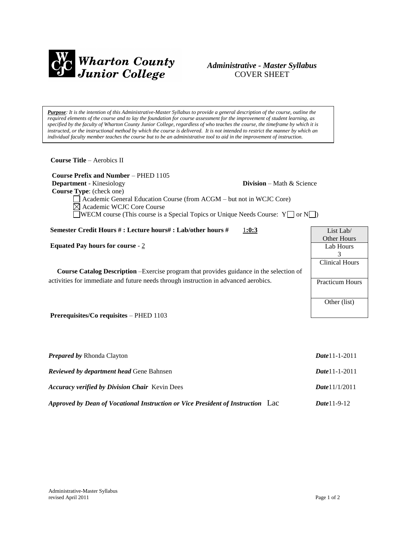

# *Administrative - Master Syllabus*  COVER SHEET

*Purpose: It is the intention of this Administrative-Master Syllabus to provide a general description of the course, outline the required elements of the course and to lay the foundation for course assessment for the improvement of student learning, as specified by the faculty of Wharton County Junior College, regardless of who teaches the course, the timeframe by which it is instructed, or the instructional method by which the course is delivered. It is not intended to restrict the manner by which an individual faculty member teaches the course but to be an administrative tool to aid in the improvement of instruction.*

**Course Title** – Aerobics II

 **Course Prefix and Number** – PHED 1105 **Department** - Kinesiology **Division** – Math & Science  **Course Type**: (check one) Academic General Education Course (from ACGM – but not in WCJC Core) Academic WCJC Core Course WECM course (This course is a Special Topics or Unique Needs Course:  $Y \Box$  or  $N \Box$ )

**Semester Credit Hours # : Lecture hours# : Lab/other hours #** 1**:0:3**

**Equated Pay hours for course** - 2

**Course Catalog Description** –Exercise program that provides guidance in the selection of activities for immediate and future needs through instruction in advanced aerobics.

**Prerequisites/Co requisites** – PHED 1103

| <b>Prepared by Rhonda Clayton</b>                                               | $Date 11 - 1 - 2011$    |
|---------------------------------------------------------------------------------|-------------------------|
| <b>Reviewed by department head Gene Bahnsen</b>                                 | $Date 11 - 1 - 2011$    |
| <b>Accuracy verified by Division Chair</b> Kevin Dees                           | <b>Date</b> $11/1/2011$ |
| Approved by Dean of Vocational Instruction or Vice President of Instruction Lac | $Date 11-9-12$          |

| List Lab/              |  |  |
|------------------------|--|--|
| Other Hours            |  |  |
| Lab Hours              |  |  |
| 3                      |  |  |
| <b>Clinical Hours</b>  |  |  |
|                        |  |  |
| <b>Practicum Hours</b> |  |  |
|                        |  |  |
| Other (list)           |  |  |
|                        |  |  |
|                        |  |  |